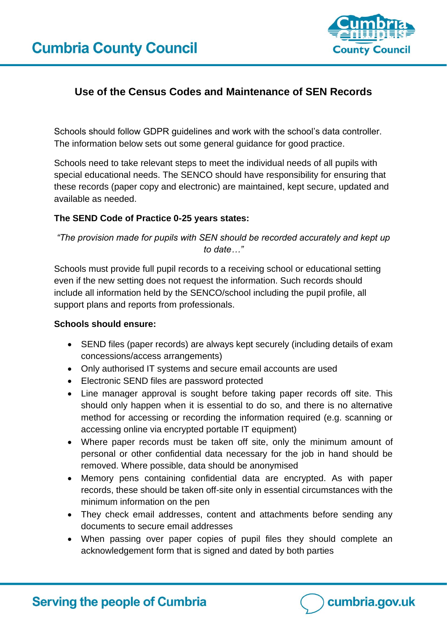

# **Use of the Census Codes and Maintenance of SEN Records**

Schools should follow GDPR guidelines and work with the school's data controller. The information below sets out some general guidance for good practice.

Schools need to take relevant steps to meet the individual needs of all pupils with special educational needs. The SENCO should have responsibility for ensuring that these records (paper copy and electronic) are maintained, kept secure, updated and available as needed.

### **The SEND Code of Practice 0-25 years states:**

*"The provision made for pupils with SEN should be recorded accurately and kept up to date…"*

Schools must provide full pupil records to a receiving school or educational setting even if the new setting does not request the information. Such records should include all information held by the SENCO/school including the pupil profile, all support plans and reports from professionals.

#### **Schools should ensure:**

- SEND files (paper records) are always kept securely (including details of exam concessions/access arrangements)
- Only authorised IT systems and secure email accounts are used
- Electronic SEND files are password protected
- Line manager approval is sought before taking paper records off site. This should only happen when it is essential to do so, and there is no alternative method for accessing or recording the information required (e.g. scanning or accessing online via encrypted portable IT equipment)
- Where paper records must be taken off site, only the minimum amount of personal or other confidential data necessary for the job in hand should be removed. Where possible, data should be anonymised
- Memory pens containing confidential data are encrypted. As with paper records, these should be taken off-site only in essential circumstances with the minimum information on the pen
- They check email addresses, content and attachments before sending any documents to secure email addresses
- When passing over paper copies of pupil files they should complete an acknowledgement form that is signed and dated by both parties

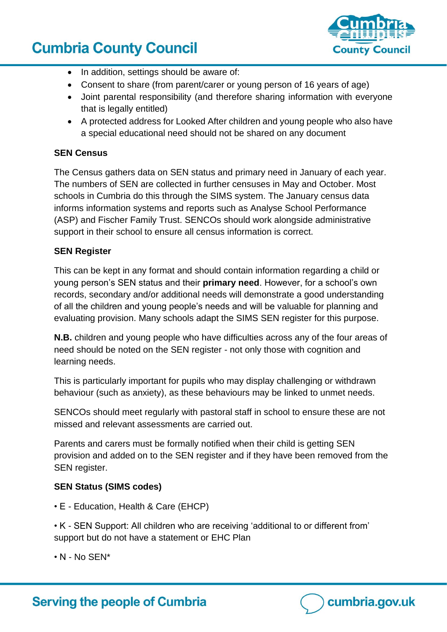# **Cumbria County Council**



- In addition, settings should be aware of:
- Consent to share (from parent/carer or young person of 16 years of age)
- Joint parental responsibility (and therefore sharing information with everyone that is legally entitled)
- A protected address for Looked After children and young people who also have a special educational need should not be shared on any document

# **SEN Census**

The Census gathers data on SEN status and primary need in January of each year. The numbers of SEN are collected in further censuses in May and October. Most schools in Cumbria do this through the SIMS system. The January census data informs information systems and reports such as Analyse School Performance (ASP) and Fischer Family Trust. SENCOs should work alongside administrative support in their school to ensure all census information is correct.

### **SEN Register**

This can be kept in any format and should contain information regarding a child or young person's SEN status and their **primary need**. However, for a school's own records, secondary and/or additional needs will demonstrate a good understanding of all the children and young people's needs and will be valuable for planning and evaluating provision. Many schools adapt the SIMS SEN register for this purpose.

**N.B.** children and young people who have difficulties across any of the four areas of need should be noted on the SEN register - not only those with cognition and learning needs.

This is particularly important for pupils who may display challenging or withdrawn behaviour (such as anxiety), as these behaviours may be linked to unmet needs.

SENCOs should meet regularly with pastoral staff in school to ensure these are not missed and relevant assessments are carried out.

Parents and carers must be formally notified when their child is getting SEN provision and added on to the SEN register and if they have been removed from the SEN register.

# **SEN Status (SIMS codes)**

• E - Education, Health & Care (EHCP)

**Serving the people of Cumbria** 

• K - SEN Support: All children who are receiving 'additional to or different from' support but do not have a statement or EHC Plan

 $\cdot$  N - No SEN\*

cumbria.gov.uk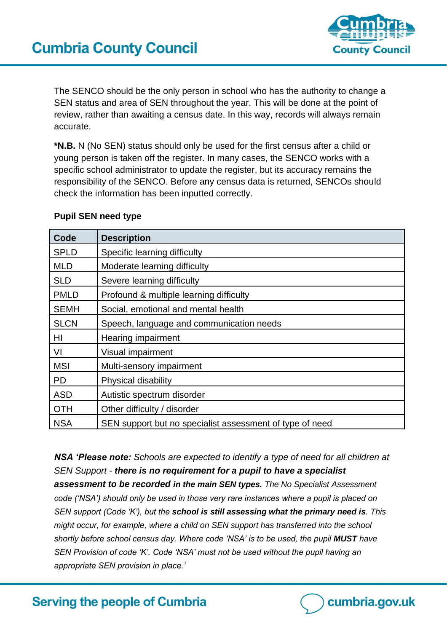

The SENCO should be the only person in school who has the authority to change a SEN status and area of SEN throughout the year. This will be done at the point of review, rather than awaiting a census date. In this way, records will always remain accurate.

**\*N.B.** N (No SEN) status should only be used for the first census after a child or young person is taken off the register. In many cases, the SENCO works with a specific school administrator to update the register, but its accuracy remains the responsibility of the SENCO. Before any census data is returned, SENCOs should check the information has been inputted correctly.

| Code        | <b>Description</b>                                       |
|-------------|----------------------------------------------------------|
| <b>SPLD</b> | Specific learning difficulty                             |
| <b>MLD</b>  | Moderate learning difficulty                             |
| <b>SLD</b>  | Severe learning difficulty                               |
| <b>PMLD</b> | Profound & multiple learning difficulty                  |
| <b>SEMH</b> | Social, emotional and mental health                      |
| <b>SLCN</b> | Speech, language and communication needs                 |
| HI          | Hearing impairment                                       |
| VI          | Visual impairment                                        |
| <b>MSI</b>  | Multi-sensory impairment                                 |
| <b>PD</b>   | <b>Physical disability</b>                               |
| <b>ASD</b>  | Autistic spectrum disorder                               |
| <b>OTH</b>  | Other difficulty / disorder                              |
| <b>NSA</b>  | SEN support but no specialist assessment of type of need |

### **Pupil SEN need type**

*NSA 'Please note: Schools are expected to identify a type of need for all children at SEN Support - there is no requirement for a pupil to have a specialist assessment to be recorded in the main SEN types. The No Specialist Assessment code ('NSA') should only be used in those very rare instances where a pupil is placed on SEN support (Code 'K'), but the school is still assessing what the primary need is. This might occur, for example, where a child on SEN support has transferred into the school shortly before school census day. Where code 'NSA' is to be used, the pupil MUST have SEN Provision of code 'K'. Code 'NSA' must not be used without the pupil having an appropriate SEN provision in place.'*